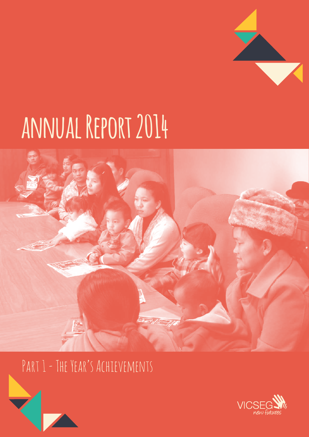# **annual Report 2014**



PART 1 - THE YEAR'S ACHIEVEMENTS

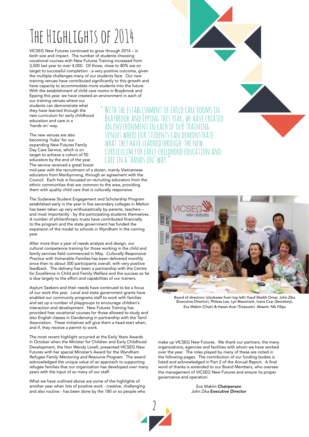# The Highlights of 2014

VICSEG New Futures continued to grow through 2014 – in both size and impact. The number of students choosing vocational courses with New Futures Training increased from 3,500 last year to over 4,000. Of those, close to 80% are on target to successful completion - a very positive outcome, given the multiple challenges many of our students face. Our new training venues have contributed significantly to this growth and have capacity to accommodate more students into the future. With the establishment of child care rooms in Braybrook and Epping this year, we have created an environment in each of

our training venues where our students can demonstrate what they have learned through the new curriculum for early childhood education and care in a 'hands on' way.

The new venues are also becoming 'hubs' for our expanding New Futures Family Day Care Service, which is on target to achieve a cohort of 50 educators by the end of the year. The service received a great boost

mid-year with the recruitment of a dozen, mainly Vietnamese educators from Maribyrnong, through an agreement with the Council. Each hub is focussed on recruiting educators from the ethnic communities that are common to the area, providing them with quality child care that is culturally responsive.

The Sudanese Student Engagement and Scholarship Program established early in the year in five secondary colleges in Melton has been taken up very enthusiastically by parents, teachers – and most importantly - by the participating students themselves. A number of philanthropic trusts have contributed financially to the program and the state government has funded the expansion of the model to schools in Wyndham in the coming year.

After more than a year of needs analysis and design, our cultural competence training for those working in the child and family services field commenced in May. *Culturally Responsive Practice with Vulnerable Families* has been delivered monthly since then to about 300 participants overall, with very positive feedback. The delivery has been a partnership with the Centre for Excellence in Child and Family Welfare and the success so far is due largely to the effort and capabilities of our trainers.

Asylum Seekers and their needs have continued to be a focus of our work this year. Local and state government grants have enabled our community programs staff to work with families and set up a number of playgroups to encourage children's interaction and development. New Futures Training has provided free vocational courses for those allowed to study and also English classes in Dandenong in partnership with the Tamil Association. These initiatives will give them a head start when, and if, they receive a permit to work.

The most recent highlight occurred at the Early Years Awards in October when the Minister for Children and Early Childhood Development, the Hon Wendy Lovell, presented VICSEG New Futures with her special Minister's Award for the *Wyndham Refugee Family Mentoring and Resource Program.* The award acknowledged the unique value of an approach to supporting refugee families that our organization has developed over many years with the input of so many of our staff.

What we have outlined above are some of the highlights of another year when lots of positive work - creative, challenging and also routine - has been done by the 180 or so people who

WITH THE ESTABLISHMENT OF CHILD CARE ROOMS IN Braybrook and Epping this year, we have created an environment in each of our training vues where our students can demonstrate what they have learnedthrough the new curriculum for early childhood education and care in a 'hands on' way."



Board of directors: (clockwise from top left) Yusuf Sheikh Omar, John Zika (Executive Director), Phileas Lee, Lyn Beaumont, Ivana Csar (Secretary), Eva Wakim (Chair) & Hasan Acar (Treasurer). Absent: Nik Filips

make up VICSEG New Futures. We thank our partners, the many organizations, agencies and facilities with whom we have worked over the year. The roles played by many of these are noted in the following pages. The contribution of our funding bodies is listed and acknowledged in Part 2 of the Annual Report. A final word of thanks is extended to our Board Members, who oversee the management of VICSEG New Futures and ensure its proper governance and operation.

> Eva Wakim Chairperson John Zika Executive Director

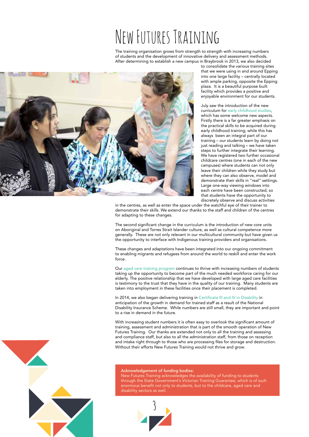# New Futures Training

The training organisation grows from strength to strength with increasing numbers of students and the development of innovative delivery and assessment methods. After determining to establish a new campus in Braybrook in 2013, we also decided



to consolidate the various training sites that we were using in and around Epping into one large facility – centrally located with ample parking, opposite the Epping plaza. It is a beautiful purpose built facility which provides a positive and enjoyable environment for our students.

July saw the introduction of the new curriculum for early childhood studies, which has some welcome new aspects. Firstly there is a far greater emphasis on the practical skills to be acquired during early childhood training; while this has always been an integral part of our training – our students learn by doing not just reading and talking – we have taken steps to further integrate their learning. We have registered two further occasional childcare centres (one in each of the new campuses) where students can not only leave their children while they study but where they can also observe, model and demonstrate their skills in "real" settings. Large one-way viewing windows into each centre have been constructed, so that students have the opportunity to discretely observe and discuss activities

in the centres, as well as enter the space under the watchful eye of their trainer to demonstrate their skills. We extend our thanks to the staff and children of the centres for adapting to these changes.

The second significant change in the curriculum is the introduction of new core units on Aboriginal and Torres Strait Islander culture, as well as cultural competence more generally. These are not only relevant in our multicultural community but have given us the opportunity to interface with Indigenous training providers and organisations.

These changes and adaptations have been integrated into our ongoing commitment to enabling migrants and refugees from around the world to reskill and enter the work force.

Our aged care training program continues to thrive with increasing numbers of students taking up the opportunity to become part of the much needed workforce caring for our elderly. The positive relationship that we have developed with large aged care facilities is testimony to the trust that they have in the quality of our training. Many students are taken into employment in these facilities once their placement is completed.

In 2014, we also began delivering training in Certificate III and IV in Disability in anticipation of the growth in demand for trained staff as a result of the National Disability Insurance Scheme. While numbers are still small, they are important and point to a rise in demand in the future.

With increasing student numbers it is often easy to overlook the significant amount of training, assessment and administration that is part of the smooth operation of New Futures Training. Our thanks are extended not only to all the training and assessing and compliance staff, but also to all the administration staff, from those on reception and intake right through to those who are processing files for storage and destruction. Without their efforts New Futures Training would not thrive and grow.

# Acknowledgement of funding bodies:

New Futures Training acknowledges the availability of funding to students through the State Government's Victorian Training Guarantee, which is of such enormous benefit not only to students, but to the childcare, aged care and disability sectors as well.



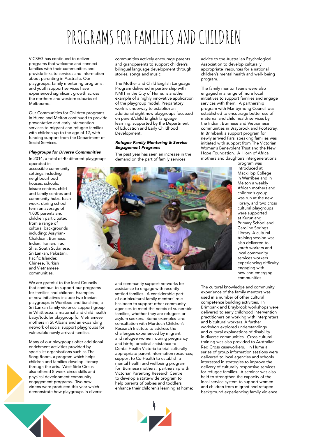# PROGRAMS FOR FAMILIFS AND CHILDREN

VICSEG has continued to deliver programs that welcome and connect families with their communities and provide links to services and information about parenting in Australia. Our playgroups, family mentoring programs, and youth support services have experienced significant growth across the northern and western suburbs of Melbourne.

Our Communities for Children programs in Hume and Melton continued to provide preventative and early intervention services to migrant and refugee families with children up to the age of 12, with funding support from the Department of Social Services.

#### *Playgroups for Diverse Communities*

In 2014, a total of 40 different playgroups operated in

accessible community settings including neighbourhood houses, schools, leisure centres, child and family centres and community hubs. Each week, during school term an average of 1,000 parents and children participated from a range of cultural backgrounds including: Assyrian-Chaldean, Burmese, Indian, Iranian, Iraqi Shia, South Sudanese, Sri Lankan, Pakistani, Pacific Islander, Chinese, Turkish and Vietnamese communities.

We are grateful to the local Councils that continue to support our programs for families and children. Examples of new initiatives include two Iranian playgroups in Werribee and Sunshine, a Sri Lankan family violence support group in Whittlesea, a maternal and child health baby/toddler playgroup for Vietnamese mothers in St Albans and an expanding network of social support playgroups for vulnerable newly arrived families.

Many of our playgroups offer additional enrichment activities provided by specialist organisations such as The Song Room, a program which helps children and families develop literacy through the arts. West Side Circus also offered 8-week circus skills and physical development community engagement programs. Two new videos were produced this year which demonstrate how playgroups in diverse

communities actively encourage parents and grandparents to support children's bilingual language development through stories, songs and music.

The Mother and Child English Language Program delivered in partnership with NMIT in the City of Hume, is another example of a highly innovative application of the playgroup model. Preparatory work is underway to establish an additional eight new playgroups focussed on parent/child English language learning, supported by the Department of Education and Early Childhood Development.

### *Refugee Family Mentoring & Service Engagement Programs*

The past year has seen an increase in the demand on the part of family services

advice to the Australian Psychological Association to develop culturally appropriate resources for a national children's mental health and well- being program. .

The family mentor teams were also engaged in a range of more local initiatives to support families and engage services with them. A partnership program with Maribyrnong Council was established to encourage better use of maternal and child health services by the Indian, Burmese and Vietnamese communities in Braybrook and Footscray. In Brimbank a support program for newly arrived Farsi speaking families was initiated with support from The Victorian Women's Benevolent Trust and the New Hope Foundation. A Horn of Africa mothers and daughters intergenerational



and community support networks for assistance to engage with recently settled families. A considerable part of our bicultural family mentors' role has been to support other community agencies to meet the needs of vulnerable families, whether they are refugees or asylum seekers. Some examples are: consultation with Murdoch Children's Research Institute to address the challenges experienced by migrant and refugee women during pregnancy and birth; practical assistance to Dental Health Victoria to trial culturally appropriate parent information resources; support to Co-Health to establish a mental health and wellbeing program for Burmese mothers; partnership with Victorian Parenting Research Centre to develop a state-wide program to help parents of babies and toddlers enhance their children's learning at home;



program was introduced at Mackillop College in Werribee and in Melton a weekly African mothers and children's group was run at the new library, and two cross cultural playgroups were supported at Kurunjang Primary School and Caroline Springs Library. A cultural training session was also delivered to youth workers and local community services workers experiencing difficulty engaging with new and emerging communities

The cultural knowledge and community experience of the family mentors was used in a number of other cultural competence building activities. In Brimbank and Braybrook workshops were delivered to early childhood intervention practitioners on working with interpreters and bicultural workers. A further workshop explored understandings and cultural explanations of disability in diverse communities. Cross cultural training was also provided to Australian Red Cross caseworkers. In Hume a series of group information sessions were delivered to local agencies and schools interested in strategies to improve the delivery of culturally responsive services for refugee families. A seminar was also held to strengthen the capacity of the local service system to support women and children from migrant and refugee background experiencing family violence.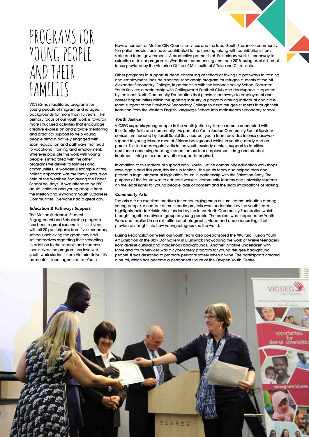# PROGRAMS FOR YOUNG PEOPLE AND THEIR FAMILIES

VICSEG has facilitated programs for young people of migrant and refugee backgrounds for more than 15 years. The primary focus of our youth work is towards more structured activities that encourage creative expression and provide mentoring and practical support to help young people remain actively engaged with sport, education and pathways that lead to vocational training and employment. Wherever possible this work with young people is integrated with the other programs we deliver to families and communities. A wonderful example of this holistic approach was the family excursion held at the Werribee Zoo during the Easter School holidays. It was attended by 250 adults, children and young people from the Melton and Wyndham South Sudanese Communities. Everyone had a great day.

# *Education & Pathways Support*

The Melton Sudanese Student Engagement and Scholarship program has been a great success in its first year, with all 20 participants from five secondary schools achieving the goals they had set themselves regarding their schooling. In addition to the schools and students themselves, the program has involved youth work students from Victoria University as mentors, local agencies like Youth

Now, a number of Melton City Council services and the local South Sudanese community. Ten philanthropic trusts have contributed to the funding, along with contributions from state and local governments. A productive partnership! Preliminary work is underway to establish a similar program in Wyndham commencing term one 2015, using establishment funds provided by the Victorian Office of Multicultural Affairs and Citizenship.

Other programs to support students continuing at school or taking up pathways to training and employment include a soccer scholarship program for refugee students at the Mt Alexander Secondary College, in partnership with the Moonee Valley School Focussed Youth Service; a partnership with Collingwood Football Club and Headspace, supported by the Inner North Community Foundation that provides pathways to employment and career opportunities within the sporting industry; a program offering individual and class room support at the Braybrook Secondary College to assist refugee students through their transition from the Western English Language School into mainstream secondary school.

#### *Youth Justice*

VICSEG supports young people in the youth justice system to remain connected with their family, faith and community. As part of a Youth Justice Community Social Services consortium headed by Jesuit Social Services, our youth team provides intense casework support to young Muslim men of African background whilst in youth custody and on parole. This includes regular visits to the youth custody centres, support to families, assistance accessing housing, education and/ or employment, drug and alcohol treatment, living skills and any other supports required.

In addition to this individual support work, Youth Justice community education workshops were again held this year, this time in Melton. The youth team also helped plan and present a legal aid/sexual legislation forum in partnership with the Salvation Army. The purpose of the forum was to educate workers, community leaders and university students on the legal rights for young people, age of consent and the legal implications of sexting.

#### *Community Arts*

The arts are an excellent medium for encouraging cross-cultural communication among young people. A number of multimedia projects were undertaken by the youth team. Highlights include Krinkle Max funded by the Inner North Community Foundation which brought together a diverse group of young people. The project was supported by Youth Worx and resulted in an exhibition of photographs, video and audio recordings that provide an insight into how young refugees see the world.

During Reconciliation Week our youth team also co-sponsored the XKultural Fusion Youth Art Exhibition at the Blak Dot Gallery in Brunswick showcasing the work of twelve teenagers from diverse cultural and Indigenous backgrounds. Another initiative undertaken with Moreland Youth Services was a cyber-safety program for young refugee background people. It was designed to promote personal safety when on-line. The participants created a mural, which has become a permanent fixture at the Oxygen Youth Centre.

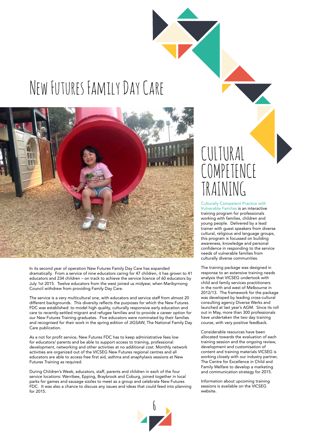# New Futures Family Day Care



In its second year of operation New Futures Family Day Care has expanded dramatically. From a service of nine educators caring for 47 children, it has grown to 41 educators and 234 children – on track to achieve the service licence of 60 educators by July 1st 2015. Twelve educators from the west joined us midyear, when Maribyrnong Council withdrew from providing Family Day Care.

The service is a very multicultural one, with educators and service staff from almost 20 different backgrounds. This diversity reflects the purposes for which the New Futures FDC was established: to model high quality, culturally responsive early education and care to recently-settled migrant and refugee families and to provide a career option for our New Futures Training graduates. Five educators were nominated by their families and recognised for their work in the spring edition of JIGSAW, The National Family Day Care publication.

As a not for profit service, New Futures FDC has to keep administrative fees low for educators/ parents and be able to support access to training, professional development, networking and other activities at no additional cost. Monthly network activities are organized out of the VICSEG New Futures regional centres and all educators are able to access free first aid, asthma and anaphylaxis sessions at New Futures Training as required.

During Children's Week, educators, staff, parents and children in each of the four service locations: Werribee, Epping, Braybrook and Coburg, joined together in local parks for games and sausage sizzles to meet as a group and celebrate New Futures FDC. It was also a chance to discuss any issues and ideas that could feed into planning for 2015.



# CULTURAL COMPETENCE TRAINING

Culturally Competent Practice with Vulnerable Families is an interactive training program for professionals working with families, children and young people. Delivered by a lead trainer with guest speakers from diverse cultural, religious and language groups, this program is focussed on building awareness, knowledge and personal confidence in responding to the service needs of vulnerable families from culturally diverse communities.

The training package was designed in response to an extensive training needs analysis that VICSEG undertook with child and family services practitioners in the north and west of Melbourne in 2012/13. The framework for the package was developed by leading cross-cultural consulting agency Diverse Werks and launched at last year's AGM. Since its roll out in May, more than 300 professionals have undertaken the two day training course, with very positive feedback.

Considerable resources have been allocated towards the evaluation of each training session and the ongoing review, development and customisation of content and training materials VICSEG is working closely with our industry partner, The Centre for Excellence in Child and Family Welfare to develop a marketing and communication strategy for 2015.

Information about upcoming training sessions is available on the VICSEG website.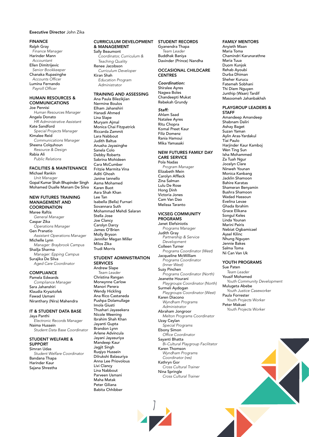### Executive Director John Zika

# FINANCE

Ralph Gray *Finance Manager* Harinder Mann *Accountant* Ellen Dimitrijevic *Senior Bookkeeper* Chanaka Rupasinghe Accounts Officer Lumina Fernando Payroll Officer

# HUMAN RESOURCES & **COMMUNICATIONS**

Joe Pennisi *Human Resources Manager* Angela Donato *HR Administrative Assistant* Kate Sandford *Special Projects Manager* Kimalee Reid *Communications Manager* Sheena Colquhoun *Resource & Design* Rabia Ali *Public Relations*

# FACILITIES & MAINTENANCE

Michael Rankin *Unit Manager* Gopal Kumar Shah Bhupinder Singh Mohamed Dualle Manam De Silva

# NEW FUTURES TRAINING MANAGEMENT AND **COORDINATION**

Maree Raftis *General Manager* Caspar Zika *Operations Manager* Gen Pranatio *Assistant Operations Manager* Michelle Lynn *Manager: Braybrook Campus* Shailja Sharma *Manager: Epping Campus* Surajika De Silva *Aged Care Coordinator*

# **COMPLIANCE**

Pamela Edwards *Compliance Manager* Sara Jahanshiri Klaudia Krysztofek Fawad Usmani Niranthary (Nira) Mahendra

# IT & STUDENT DATA BASE Jaya Panthi *Electronic Records Manager*

Naima Hussein *Student Data Base Coordinator*

#### STUDENT WELFARE & SUPPORT Simran Udas

*Student Welfare Coordinator* Bandana Thapa Harinder Kaur Sajana Shrestha

# CURRICULUM DEVELOPMENT STUDENT RECORDS & MANAGEMENT

Sally Beaumont *Coordinator, Curriculum & Teaching Quality* Renee Jacobson *Curriculum Developer* Kiran Shah *Education Program* 

*Administrator*

#### TRAINING AND ASSESSING Ana Paula Bilezikjian

Nermine Boulos Elham Jahanshiri Hanadi Ahmed Lina Slape Muryam Ajmal Monica Chai Fitzpatrick Riccarda Zammit Lara Nabbout Judith Baltus Anusha Jayasinghe Sanela Colo Debby Roberts Sabrina Mohideen Cara McCumber Fritzie Marmita Vina Aditi Ghosh Janine Iannello Asma Mohamed Karen Buot Asra Shah Khan Lee Tan Isabella (Bella) Furnari Sovannara Suth Mohammad Mehdi Salaran Stella Jose Joe Clancy Carolyn Darcy James O'Brien Molly Bryson Jennifer Megan Miller Milos Zika Trudi Morris

### STUDENT ADMINISTRATION SERVICES

Andrew Slape *Team Leader* Christina Rangan Morwynne Carlow Manori Perera Wendy Hickling Ana Rico Castaneda Pushpa Dolamullage Imola Giusti Thushari Jayasekera Nicole Weening Ibrahim Shah Khan Jayanti Gupta Brandon Lynn Arlene Advincula Jayani Jayasuriya Mandeep Kaur Jagjit Singh Ruqiyo Hussein Dilrukshi Balasuriya Anna Lee Priovolous Livi Clancy Lina Nabbout Parveen Usmani Maha Matak Peter Giliana Babita Chhibber

Gyanendra Thapa *Team Leader* Buddhak Baniya Davinder (Prince) Nandha

# OCCASIONAL CHILDCARE **CENTRES**

*Coordination:* Shiralee Ayres Nagwa Boles Chandeepti Mukat Rebekah Grundy

*Staff:* Ahlam Saad Natalee Ayres Ritu Chopra Komal Preet Kaur Filiz Domenz Rania Hamoui Mika Yamasaki

### NEW FUTURES FAMILY DAY CARE SERVICE

Pola Nadas *Program Manager* Elizabeth Mein Carolyn Affleck Zina Salman Lulu De Rose Hong Dinh Victoria Jones Cam Van Dao Melissa Taranto

#### VICSEG COMMUNITY PROGRAMS

Janet Elefsiniotis *Programs Manager* Judith Gray *Partnership & Service Development* Colleen Turner *Programs Coordinator (West)* Jacqueline McWilliam *Programs Coordinator (Inner West)* Suzy Pinchen *Programs Coordinator (North)* Jeanette Hourani *Playgroups Coordinator (North)* Surmeli Aydogan *Playgroups Coordinator (West)* Karen Diacono *Wyndham Programs Administrator* Abraham Jongroor *Melton Programs Coordinator* Uzay Ceylan *Special Programs* Ebony Simon Office Coordinator Sayanti Bhatta *Bi-Cultural Playgroup Facilitator* Karen Thomson *Wyndham Programs Coordinator (res)* Kathryn Gor *Cross Cultural Trainer*

Nina Springle *Cross Cultural Trainer*

### FAMILY MENTORS

Anyieth Maan Maria Toma Chamindri Karunarathne Maria Tuua Duom Kunjok Rehab Ayoubi Durba Dhiman Sheher Kurucu Fatemeh Sobhani Thi Diem Nguyen Junthip (Waan) Tardif Masoomeh Jahanbakhsh

# PLAYGROUP LEADERS &

**STAFF** Amandeep Amandeep Shabnam Daliri Ashay Baget Suzan Yaman Aylin Aras-Yardakul Tiai Paulo Harjinder Kaur Kamboj Wen Ting Sun Isha Mohammed Za Tuah Ngur Jocelyn Clare Ninweh Younan Monica Kanbang Jacklin Shamoon Bahire Karatas Shameran Benyamin Bushra Shamoon Wadad Hassoun Evelina Levae Ghada Ibrahim Grace Elikana Songul Keles Linda Younan Marini Peiris Nebiat Ogbamicael Aysel Kilinc Nhung Nguyen Jennie Bakes Salma Toma Ni Can Van Uk

# YOUTH PROGRAMS

Sue Paten *Team Leader* Yousif Mohamed *Youth Community Development* Mulugeta Abebe *Youth Justice Caseworker* Paula Forrester *Youth Projects Worker* Peter Makuei *Youth Projects Worker*